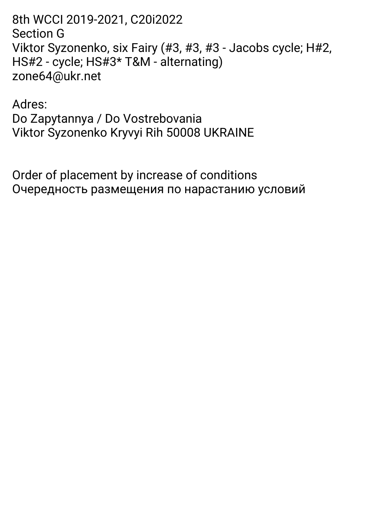8th WCCI 2019-2021, C20i2022 **Section G** Viktor Syzonenko, six Fairy (#3, #3, #3 - Jacobs cycle; H#2, HS#2 - cycle; HS#3\* T&M - alternating) zone64@ukr.net

Adres: Do Zapytannya / Do Vostrebovania Viktor Syzonenko Kryvyi Rih 50008 UKRAINE

Order of placement by increase of conditions Очередность размещения по нарастанию условий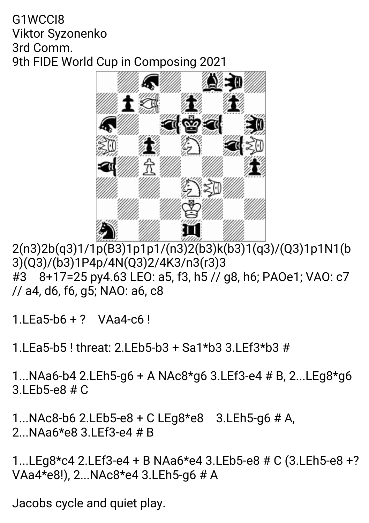#### G1WCCI8 Viktor Syzonenko 3rd Comm. 9th FIDE World Cup in Composing 2021



2(n3)2b(q3)1/1p(B3)1p1p1/(n3)2(b3)k(b3)1(q3)/(Q3)1p1N1(b 3)(Q3)/(b3)1P4p/4N(Q3)2/4K3/n3(r3)3 #3 8+17=25py4.63LEO:a5,f3,h5//g8,h6;PAOe1;VAO:c7 //a4,d6,f6,g5;NAO:a6,c8

1.LEa5-b6+? VAa4-c6!

1. LEa5-b5! threat: 2. LEb5-b3 + Sa1\*b3 3. LEf3\*b3  $#$ 

1...NAa6-b4 2.LEh5-g6 + A NAc8\*g6 3.LEf3-e4 # B, 2...LEg8\*g6 3.LEb5-e8#C

1...NAc8-b62.LEb5-e8+CLEg8\*e8 3.LEh5-g6#A, 2...NAa6\*e83.LEf3-e4#B

1...LEg8\*c42.LEf3-e4+BNAa6\*e43.LEb5-e8#C(3.LEh5-e8+? VAa4\*e8!),2...NAc8\*e43.LEh5-g6#A

Jacobs cycle and quiet play.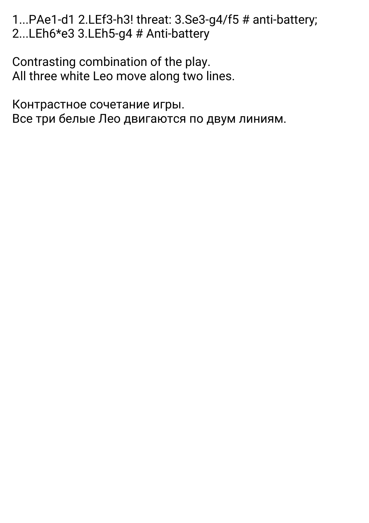1...PAe1-d1 2.LEf3-h3! threat: 3.Se3-g4/f5 # anti-battery; 2...LEh6\*e3 3.LEh5-g4 # Anti-battery

Contrasting combination of the play. All three white Leo move along two lines.

Контрастное сочетание игры. Все три белые Лео двигаются по двум линиям.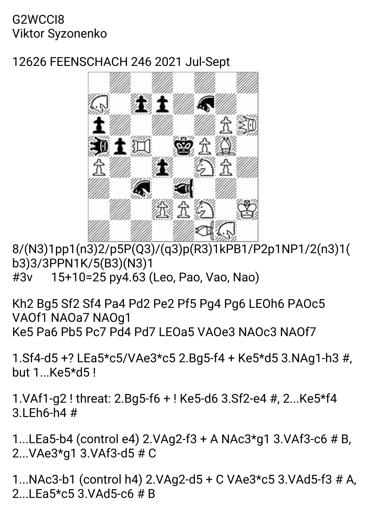## G2WCCI8 Viktor Syzonenko

# 12626FEENSCHACH2462021Jul-Sept



8/(N3)1pp1(n3)2/p5P(Q3)/(q3)p(R3)1kPB1/P2p1NP1/2(n3)1( b3)3/3PPN1K/5(B3)(N3)1 #3v 15+10=25py4.63(Leo,Pao,Vao,Nao)

Kh2 Bg5 Sf2 Sf4 Pa4 Pd2 Pe2 Pf5 Pg4 Pg6 LEOh6 PAOc5 VAOf1 NAOa7 NAOq1 Ke5 Pa6 Pb5 Pc7 Pd4 Pd7 LEOa5 VAOe3 NAOc3 NAOf7

1.Sf4-d5+?LEa5\*c5/VAe3\*c52.Bg5-f4+Ke5\*d53.NAg1-h3#, but 1...Ke5\*d5!

1.VAf1-g2! threat: 2.Bg5-f6 + ! Ke5-d6 3.Sf2-e4 #, 2...Ke5\*f4  $3!Fh6-h4#$ 

1...LEa5-b4 (control e4)  $2.VAq2-f3+A NAc3*q13.VAfg-c6#B$ , 2...VAe3\*g13.VAf3-d5#C

1...NAc3-b1(controlh4)2.VAg2-d5+CVAe3\*c53.VAd5-f3#A, 2. LEa5\*c5.3 VAd5-c6  $#R$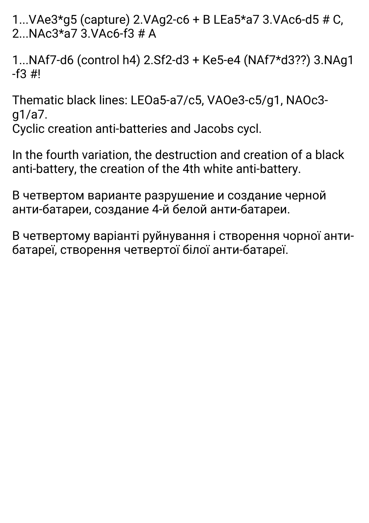1...VAe3\*g5(capture)2.VAg2-c6+BLEa5\*a73.VAc6-d5#C, 2. NAc $3*$ a7 $3$  VAc6-f $3#$ A

1...NAf7-d6(controlh4)2.Sf2-d3+Ke5-e4(NAf7\*d3??)3.NAg1  $-f3 \#1$ 

Thematic black lines: LEOa5-a7/c5, VAOe3-c5/g1, NAOc3g1/a7.

Cyclic creation anti-batteries and Jacobs cycl.

In the fourth variation, the destruction and creation of a black anti-battery, the creation of the 4th white anti-battery.

В четвертом варианте разрушение и создание черной анти-батареи, создание 4-й белой анти-батареи.

Вчетвертомуваріантіруйнуванняіствореннячорноїантибатареї, створення четвертої білої анти-батареї.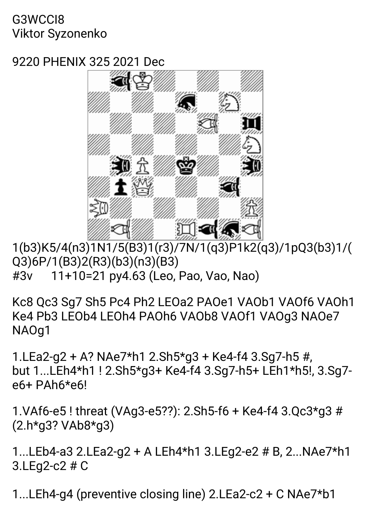## G3WCCI8 Viktor Syzonenko

# 9220 PHENIX 325 2021 Dec



1(b3)K5/4(n3)1N1/5(B3)1(r3)/7N/1(q3)P1k2(q3)/1pQ3(b3)1/( Q3)6P/1(B3)2(R3)(b3)(n3)(B3) #3v 11+10=21py4.63(Leo,Pao,Vao,Nao)

Kc8 Qc3 Sq7 Sh5 Pc4 Ph2 LEOa2 PAOe1 VAOb1 VAOf6 VAOh1 Ke4 Pb3 LEOb4 LEOh4 PAOh6 VAOb8 VAOf1 VAOg3 NAOe7 NAOg1

1.LEa2-g2+A?NAe7\*h12.Sh5\*g3+Ke4-f43.Sg7-h5#, but 1...LEh4\*h1 ! 2.Sh5\*g3+ Ke4-f4 3.Sg7-h5+ LEh1\*h5!, 3.Sg7e6+PAh6\*e6!

1.VAf6-e5! threat (VAg3-e5??): 2.Sh5-f6 + Ke4-f4 3.Qc3\*g3 # (2.h\*g3?VAb8\*g3)

1...LEb4-a32.LEa2-g2+ALEh4\*h13.LEg2-e2#B,2...NAe7\*h1 3.LEg2-c2#C

1...LEh4-g4 (preventive closing line)  $2.LEa2-c2+CNAe7*b1$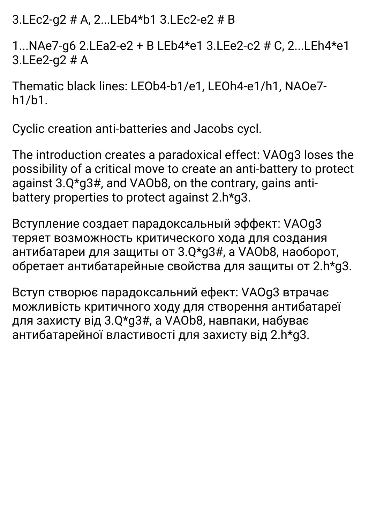3.LEc2-q2 # A, 2...LEb4\*b1 3.LEc2-e2 # B

1...NAe7-g6 2.LEa2-e2 + B LEb4\*e1 3.LEe2-c2 # C, 2...LEh4\*e1  $3.LEe2-a2#A$ 

Thematic black lines: LEOb4-b1/e1. LEOh4-e1/h1. NAOe7 $h1/h1$ .

Cyclic creation anti-batteries and Jacobs cycl.

The introduction creates a paradoxical effect: VAOq3 loses the possibility of a critical move to create an anti-battery to protect against 3.Q\*g3#, and VAOb8, on the contrary, gains antibattery properties to protect against 2.h\*g3.

Вступление создает парадоксальный эффект: VAOq3 теряет возможность критического хода для создания антибатареи для защиты от 3.Q\*g3#, а VAOb8, наоборот, обретает антибатарейные свойства для защиты от 2.h\*q3.

Вступ створює парадоксальний ефект: VAOq3 втрачає можливість критичного ходу для створення антибатареї для захисту від 3.Q\*g3#, а VAOb8, навпаки, набуває антибатарейної властивості для захисту від 2.h\*g3.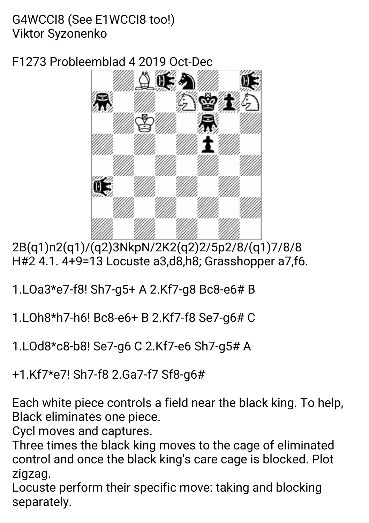# G4WCCI8 (See E1WCCI8 too!) Viktor Syzonenko

F1273Probleemblad42019Oct-Dec



2B(q1)n2(q1)/(q2)3NkpN/2K2(q2)2/5p2/8/(q1)7/8/8 H#24.1.4+9=13Locustea3,d8,h8;Grasshoppera7,f6.

- 1.LOa3\*e7-f8! Sh7-g5+ A 2.Kf7-g8 Bc8-e6# B
- 1.LOh8\*h7-h6! Bc8-e6+ B 2.Kf7-f8 Se7-g6# C
- 1.LOd8\*c8-b8! Se7-g6 C 2.Kf7-e6 Sh7-g5# A

+1.Kf7\*e7! Sh7-f8 2.Ga7-f7 Sf8-g6#

Each white piece controls a field near the black king. To help, Black eliminates one piece.

Cycl moves and captures.

Three times the black king moves to the cage of eliminated control and once the black king's care cage is blocked. Plot zigzag.

Locuste perform their specific move: taking and blocking separately.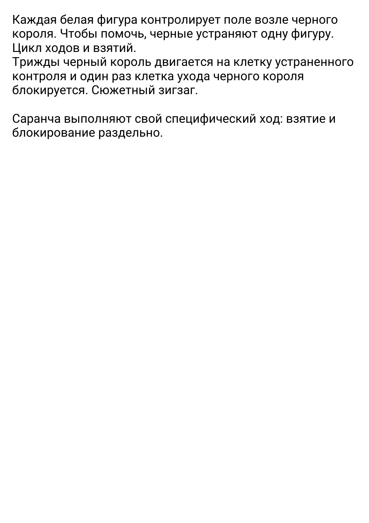Каждая белая фигура контролирует поле возле черного короля. Чтобы помочь, черные устраняют одну фигуру. Цикл ходов и взятий.

Трижды черный король двигается на клетку устраненного контроля и один раз клетка ухода черного короля блокируется.Сюжетныйзигзаг.

Саранча выполняют свой специфический ход: взятие и блокирование раздельно.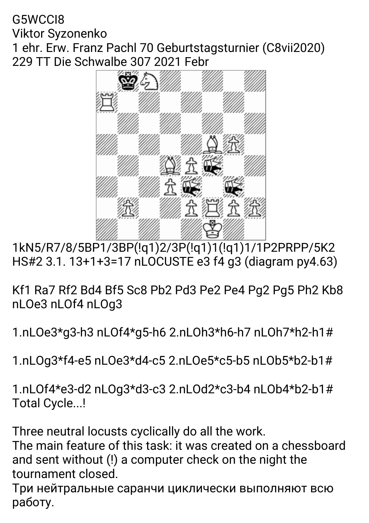## G5WCCI8 Viktor Syzonenko 1 ehr. Erw. Franz Pachl 70 Geburtstagsturnier (C8vii2020) 229 TT Die Schwalbe 307 2021 Febr



1kN5/R7/8/5BP1/3BP(!q1)2/3P(!q1)1(!q1)1/1P2PRPP/5K2 HS#2 3.1. 13+1+3=17 nLOCUSTE e3 f4 g3 (diagram py4.63)

Kf1 Ra7 Rf2 Bd4 Bf5 Sc8 Pb2 Pd3 Pe2 Pe4 Pg2 Pg5 Ph2 Kb8 nLOe3nLOf4nLOg3

1.nLOe3\*g3-h3nLOf4\*g5-h62.nLOh3\*h6-h7nLOh7\*h2-h1#

1.nLOg3\*f4-e5nLOe3\*d4-c52.nLOe5\*c5-b5nLOb5\*b2-b1#

1.nLOf4\*e3-d2nLOg3\*d3-c32.nLOd2\*c3-b4nLOb4\*b2-b1# Total Cycle...!

Three neutral locusts cyclically do all the work.

The main feature of this task: it was created on a chessboard and sent without (!) a computer check on the night the tournament closed.

Три нейтральные саранчи циклически выполняют всю работу.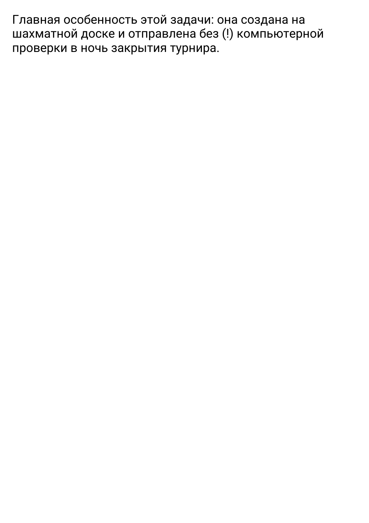Главная особенность этой задачи: она создана на шахматной доске и отправлена без (!) компьютерной проверки в ночь закрытия турнира.